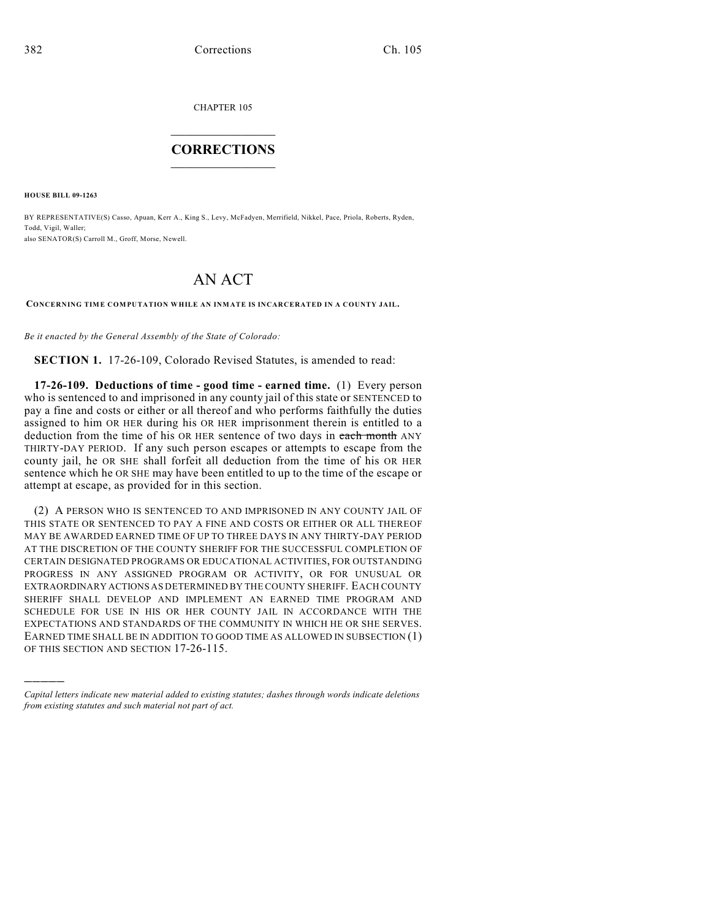CHAPTER 105

## $\overline{\phantom{a}}$  . The set of the set of the set of the set of the set of the set of the set of the set of the set of the set of the set of the set of the set of the set of the set of the set of the set of the set of the set o **CORRECTIONS**  $\frac{1}{2}$  ,  $\frac{1}{2}$  ,  $\frac{1}{2}$  ,  $\frac{1}{2}$  ,  $\frac{1}{2}$  ,  $\frac{1}{2}$

**HOUSE BILL 09-1263**

)))))

BY REPRESENTATIVE(S) Casso, Apuan, Kerr A., King S., Levy, McFadyen, Merrifield, Nikkel, Pace, Priola, Roberts, Ryden, Todd, Vigil, Waller; also SENATOR(S) Carroll M., Groff, Morse, Newell.

## AN ACT

**CONCERNING TIME COMPUTATION WHILE AN INMATE IS INCARCERATED IN A COUNTY JAIL.**

*Be it enacted by the General Assembly of the State of Colorado:*

**SECTION 1.** 17-26-109, Colorado Revised Statutes, is amended to read:

**17-26-109. Deductions of time - good time - earned time.** (1) Every person who is sentenced to and imprisoned in any county jail of this state or SENTENCED to pay a fine and costs or either or all thereof and who performs faithfully the duties assigned to him OR HER during his OR HER imprisonment therein is entitled to a deduction from the time of his OR HER sentence of two days in each month ANY THIRTY-DAY PERIOD. If any such person escapes or attempts to escape from the county jail, he OR SHE shall forfeit all deduction from the time of his OR HER sentence which he OR SHE may have been entitled to up to the time of the escape or attempt at escape, as provided for in this section.

(2) A PERSON WHO IS SENTENCED TO AND IMPRISONED IN ANY COUNTY JAIL OF THIS STATE OR SENTENCED TO PAY A FINE AND COSTS OR EITHER OR ALL THEREOF MAY BE AWARDED EARNED TIME OF UP TO THREE DAYS IN ANY THIRTY-DAY PERIOD AT THE DISCRETION OF THE COUNTY SHERIFF FOR THE SUCCESSFUL COMPLETION OF CERTAIN DESIGNATED PROGRAMS OR EDUCATIONAL ACTIVITIES, FOR OUTSTANDING PROGRESS IN ANY ASSIGNED PROGRAM OR ACTIVITY, OR FOR UNUSUAL OR EXTRAORDINARY ACTIONS AS DETERMINED BY THE COUNTY SHERIFF. EACH COUNTY SHERIFF SHALL DEVELOP AND IMPLEMENT AN EARNED TIME PROGRAM AND SCHEDULE FOR USE IN HIS OR HER COUNTY JAIL IN ACCORDANCE WITH THE EXPECTATIONS AND STANDARDS OF THE COMMUNITY IN WHICH HE OR SHE SERVES. EARNED TIME SHALL BE IN ADDITION TO GOOD TIME AS ALLOWED IN SUBSECTION (1) OF THIS SECTION AND SECTION 17-26-115.

*Capital letters indicate new material added to existing statutes; dashes through words indicate deletions from existing statutes and such material not part of act.*